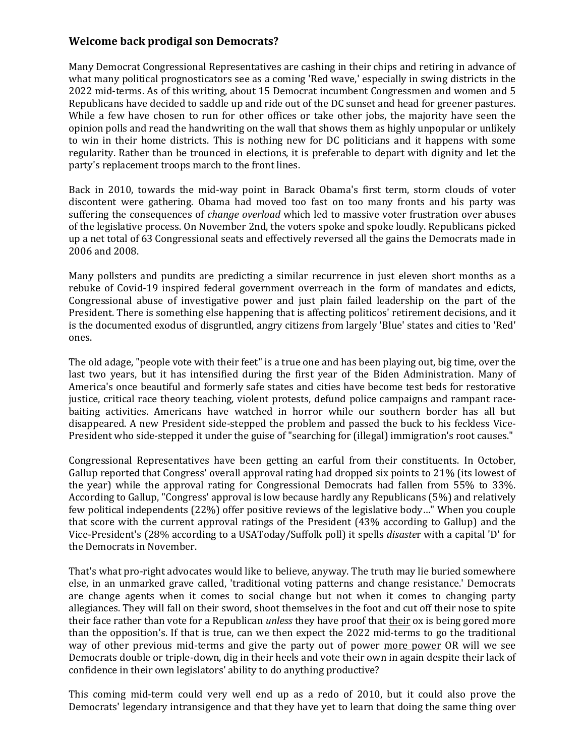## **Welcome back prodigal son Democrats?**

Many Democrat Congressional Representatives are cashing in their chips and retiring in advance of what many political prognosticators see as a coming 'Red wave,' especially in swing districts in the 2022 mid-terms. As of this writing, about 15 Democrat incumbent Congressmen and women and 5 Republicans have decided to saddle up and ride out of the DC sunset and head for greener pastures. While a few have chosen to run for other offices or take other jobs, the majority have seen the opinion polls and read the handwriting on the wall that shows them as highly unpopular or unlikely to win in their home districts. This is nothing new for DC politicians and it happens with some regularity. Rather than be trounced in elections, it is preferable to depart with dignity and let the party's replacement troops march to the front lines.

Back in 2010, towards the mid-way point in Barack Obama's first term, storm clouds of voter discontent were gathering. Obama had moved too fast on too many fronts and his party was suffering the consequences of *change overload* which led to massive voter frustration over abuses of the legislative process. On November 2nd, the voters spoke and spoke loudly. Republicans picked up a net total of 63 Congressional seats and effectively reversed all the gains the Democrats made in 2006 and 2008.

Many pollsters and pundits are predicting a similar recurrence in just eleven short months as a rebuke of Covid-19 inspired federal government overreach in the form of mandates and edicts, Congressional abuse of investigative power and just plain failed leadership on the part of the President. There is something else happening that is affecting politicos' retirement decisions, and it is the documented exodus of disgruntled, angry citizens from largely 'Blue' states and cities to 'Red' ones.

The old adage, "people vote with their feet" is a true one and has been playing out, big time, over the last two years, but it has intensified during the first year of the Biden Administration. Many of America's once beautiful and formerly safe states and cities have become test beds for restorative justice, critical race theory teaching, violent protests, defund police campaigns and rampant racebaiting activities. Americans have watched in horror while our southern border has all but disappeared. A new President side-stepped the problem and passed the buck to his feckless Vice-President who side-stepped it under the guise of "searching for (illegal) immigration's root causes."

Congressional Representatives have been getting an earful from their constituents. In October, Gallup reported that Congress' overall approval rating had dropped six points to 21% (its lowest of the year) while the approval rating for Congressional Democrats had fallen from 55% to 33%. According to Gallup, "Congress' approval is low because hardly any Republicans (5%) and relatively few political independents (22%) offer positive reviews of the legislative body…" When you couple that score with the current approval ratings of the President (43% according to Gallup) and the Vice-President's (28% according to a USAToday/Suffolk poll) it spells *disaste*r with a capital 'D' for the Democrats in November.

That's what pro-right advocates would like to believe, anyway. The truth may lie buried somewhere else, in an unmarked grave called, 'traditional voting patterns and change resistance.' Democrats are change agents when it comes to social change but not when it comes to changing party allegiances. They will fall on their sword, shoot themselves in the foot and cut off their nose to spite their face rather than vote for a Republican *unless* they have proof that their ox is being gored more than the opposition's. If that is true, can we then expect the 2022 mid-terms to go the traditional way of other previous mid-terms and give the party out of power more power OR will we see Democrats double or triple-down, dig in their heels and vote their own in again despite their lack of confidence in their own legislators' ability to do anything productive?

This coming mid-term could very well end up as a redo of 2010, but it could also prove the Democrats' legendary intransigence and that they have yet to learn that doing the same thing over